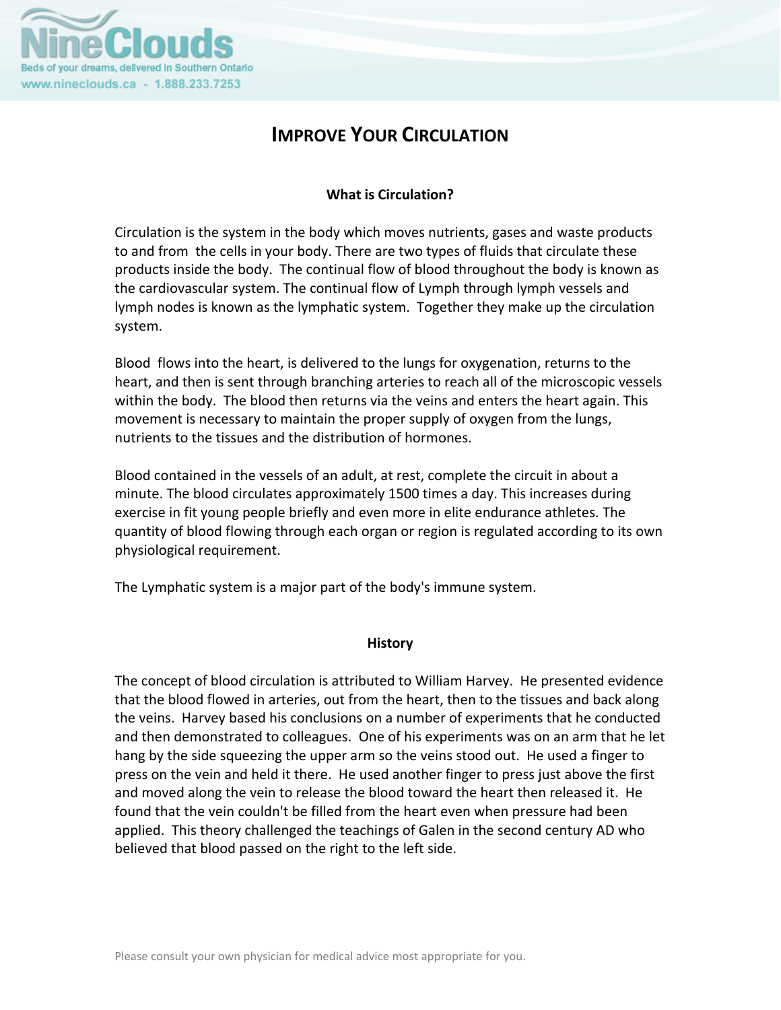

# **IMPROVE YOUR CIRCULATION**

# **What is Circulation?**

Circulation is the system in the body which moves nutrients, gases and waste products to and from the cells in your body. There are two types of fluids that circulate these products inside the body. The continual flow of blood throughout the body is known as the cardiovascular system. The continual flow of Lymph through lymph vessels and lymph nodes is known as the lymphatic system. Together they make up the circulation system.

Blood flows into the heart, is delivered to the lungs for oxygenation, returns to the heart, and then is sent through branching arteries to reach all of the microscopic vessels within the body. The blood then returns via the veins and enters the heart again. This movement is necessary to maintain the proper supply of oxygen from the lungs, nutrients to the tissues and the distribution of hormones.

Blood contained in the vessels of an adult, at rest, complete the circuit in about a minute. The blood circulates approximately 1500 times a day. This increases during exercise in fit young people briefly and even more in elite endurance athletes. The quantity of blood flowing through each organ or region is regulated according to its own physiological requirement.

The Lymphatic system is a major part of the body's immune system.

#### **History**

The concept of blood circulation is attributed to William Harvey. He presented evidence that the blood flowed in arteries, out from the heart, then to the tissues and back along the veins. Harvey based his conclusions on a number of experiments that he conducted and then demonstrated to colleagues. One of his experiments was on an arm that he let hang by the side squeezing the upper arm so the veins stood out. He used a finger to press on the vein and held it there. He used another finger to press just above the first and moved along the vein to release the blood toward the heart then released it. He found that the vein couldn't be filled from the heart even when pressure had been applied. This theory challenged the teachings of Galen in the second century AD who believed that blood passed on the right to the left side.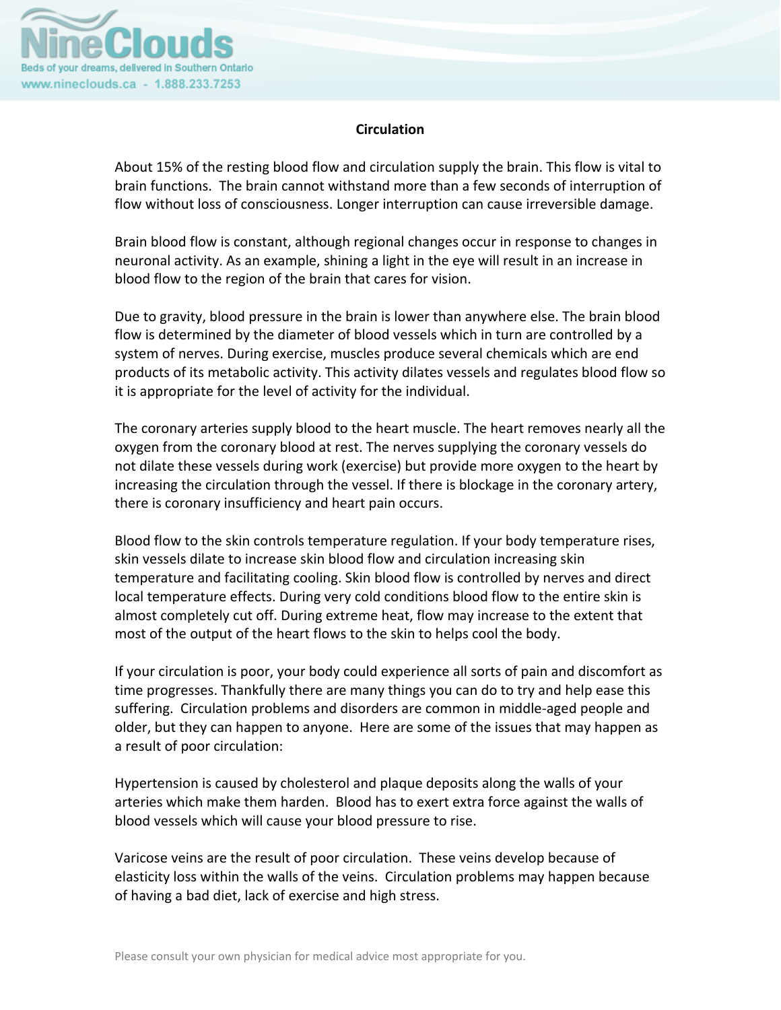

# **Circulation**

About 15% of the resting blood flow and circulation supply the brain. This flow is vital to brain functions. The brain cannot withstand more than a few seconds of interruption of flow without loss of consciousness. Longer interruption can cause irreversible damage.

Brain blood flow is constant, although regional changes occur in response to changes in neuronal activity. As an example, shining a light in the eye will result in an increase in blood flow to the region of the brain that cares for vision.

Due to gravity, blood pressure in the brain is lower than anywhere else. The brain blood flow is determined by the diameter of blood vessels which in turn are controlled by a system of nerves. During exercise, muscles produce several chemicals which are end products of its metabolic activity. This activity dilates vessels and regulates blood flow so it is appropriate for the level of activity for the individual.

The coronary arteries supply blood to the heart muscle. The heart removes nearly all the oxygen from the coronary blood at rest. The nerves supplying the coronary vessels do not dilate these vessels during work (exercise) but provide more oxygen to the heart by increasing the circulation through the vessel. If there is blockage in the coronary artery, there is coronary insufficiency and heart pain occurs.

Blood flow to the skin controls temperature regulation. If your body temperature rises, skin vessels dilate to increase skin blood flow and circulation increasing skin temperature and facilitating cooling. Skin blood flow is controlled by nerves and direct local temperature effects. During very cold conditions blood flow to the entire skin is almost completely cut off. During extreme heat, flow may increase to the extent that most of the output of the heart flows to the skin to helps cool the body.

If your circulation is poor, your body could experience all sorts of pain and discomfort as time progresses. Thankfully there are many things you can do to try and help ease this suffering. Circulation problems and disorders are common in middle‐aged people and older, but they can happen to anyone. Here are some of the issues that may happen as a result of poor circulation:

Hypertension is caused by cholesterol and plaque deposits along the walls of your arteries which make them harden. Blood has to exert extra force against the walls of blood vessels which will cause your blood pressure to rise.

Varicose veins are the result of poor circulation. These veins develop because of elasticity loss within the walls of the veins. Circulation problems may happen because of having a bad diet, lack of exercise and high stress.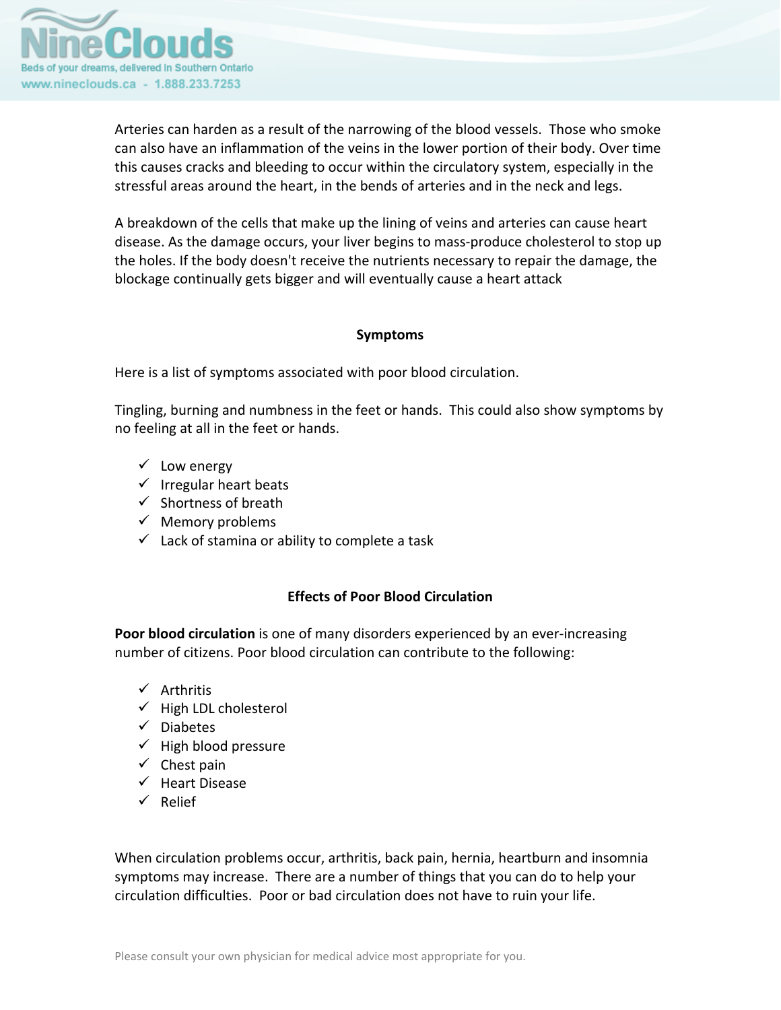

Arteries can harden as a result of the narrowing of the blood vessels. Those who smoke can also have an inflammation of the veins in the lower portion of their body. Over time this causes cracks and bleeding to occur within the circulatory system, especially in the stressful areas around the heart, in the bends of arteries and in the neck and legs.

A breakdown of the cells that make up the lining of veins and arteries can cause heart disease. As the damage occurs, your liver begins to mass‐produce cholesterol to stop up the holes. If the body doesn't receive the nutrients necessary to repair the damage, the blockage continually gets bigger and will eventually cause a heart attack

#### **Symptoms**

Here is a list of symptoms associated with poor blood circulation.

Tingling, burning and numbness in the feet or hands. This could also show symptoms by no feeling at all in the feet or hands.

- $\checkmark$  Low energy
- $\checkmark$  Irregular heart beats
- $\checkmark$  Shortness of breath
- $\checkmark$  Memory problems
- $\checkmark$  Lack of stamina or ability to complete a task

# **Effects of Poor Blood Circulation**

**Poor blood circulation** is one of many disorders experienced by an ever‐increasing number of citizens. Poor blood circulation can contribute to the following:

- $\checkmark$  Arthritis
- $\checkmark$  High LDL cholesterol
- $\checkmark$  Diabetes
- $\checkmark$  High blood pressure
- $\checkmark$  Chest pain
- $\checkmark$  Heart Disease
- $\checkmark$  Relief

When circulation problems occur, arthritis, back pain, hernia, heartburn and insomnia symptoms may increase. There are a number of things that you can do to help your circulation difficulties. Poor or bad circulation does not have to ruin your life.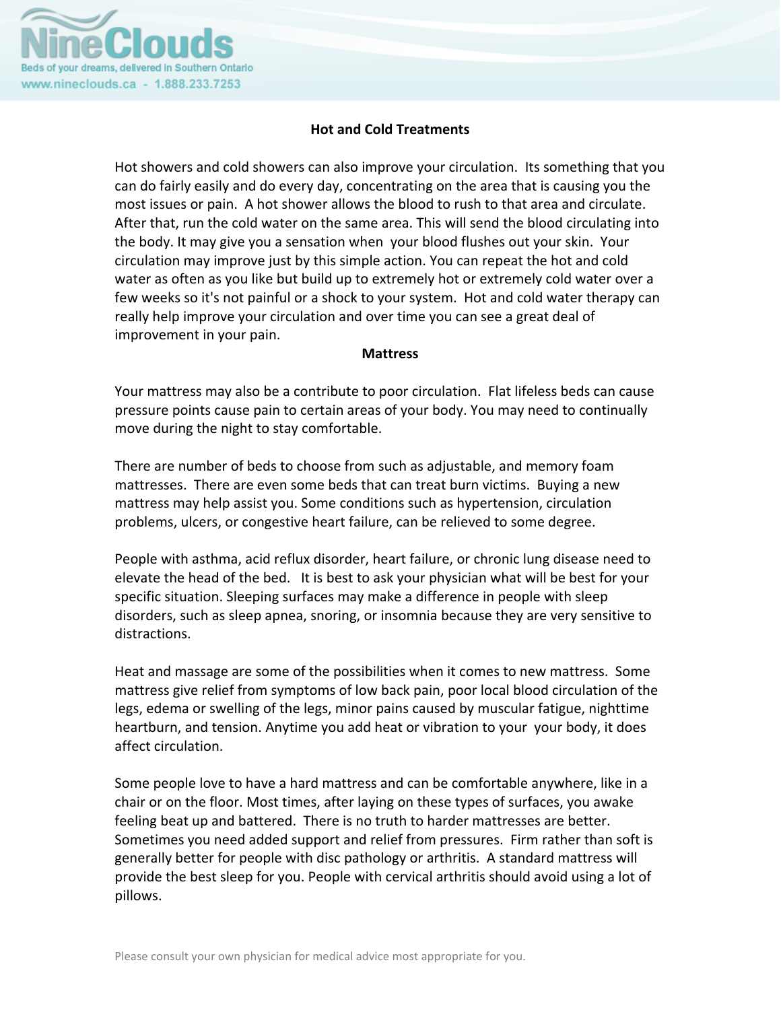

# **Hot and Cold Treatments**

Hot showers and cold showers can also improve your circulation. Its something that you can do fairly easily and do every day, concentrating on the area that is causing you the most issues or pain. A hot shower allows the blood to rush to that area and circulate. After that, run the cold water on the same area. This will send the blood circulating into the body. It may give you a sensation when your blood flushes out your skin. Your circulation may improve just by this simple action. You can repeat the hot and cold water as often as you like but build up to extremely hot or extremely cold water over a few weeks so it's not painful or a shock to your system. Hot and cold water therapy can really help improve your circulation and over time you can see a great deal of improvement in your pain.

#### **Mattress**

Your mattress may also be a contribute to poor circulation. Flat lifeless beds can cause pressure points cause pain to certain areas of your body. You may need to continually move during the night to stay comfortable.

There are number of beds to choose from such as adjustable, and memory foam mattresses. There are even some beds that can treat burn victims. Buying a new mattress may help assist you. Some conditions such as hypertension, circulation problems, ulcers, or congestive heart failure, can be relieved to some degree.

People with asthma, acid reflux disorder, heart failure, or chronic lung disease need to elevate the head of the bed. It is best to ask your physician what will be best for your specific situation. Sleeping surfaces may make a difference in people with sleep disorders, such as sleep apnea, snoring, or insomnia because they are very sensitive to distractions.

Heat and massage are some of the possibilities when it comes to new mattress. Some mattress give relief from symptoms of low back pain, poor local blood circulation of the legs, edema or swelling of the legs, minor pains caused by muscular fatigue, nighttime heartburn, and tension. Anytime you add heat or vibration to your your body, it does affect circulation.

Some people love to have a hard mattress and can be comfortable anywhere, like in a chair or on the floor. Most times, after laying on these types of surfaces, you awake feeling beat up and battered. There is no truth to harder mattresses are better. Sometimes you need added support and relief from pressures. Firm rather than soft is generally better for people with disc pathology or arthritis. A standard mattress will provide the best sleep for you. People with cervical arthritis should avoid using a lot of pillows.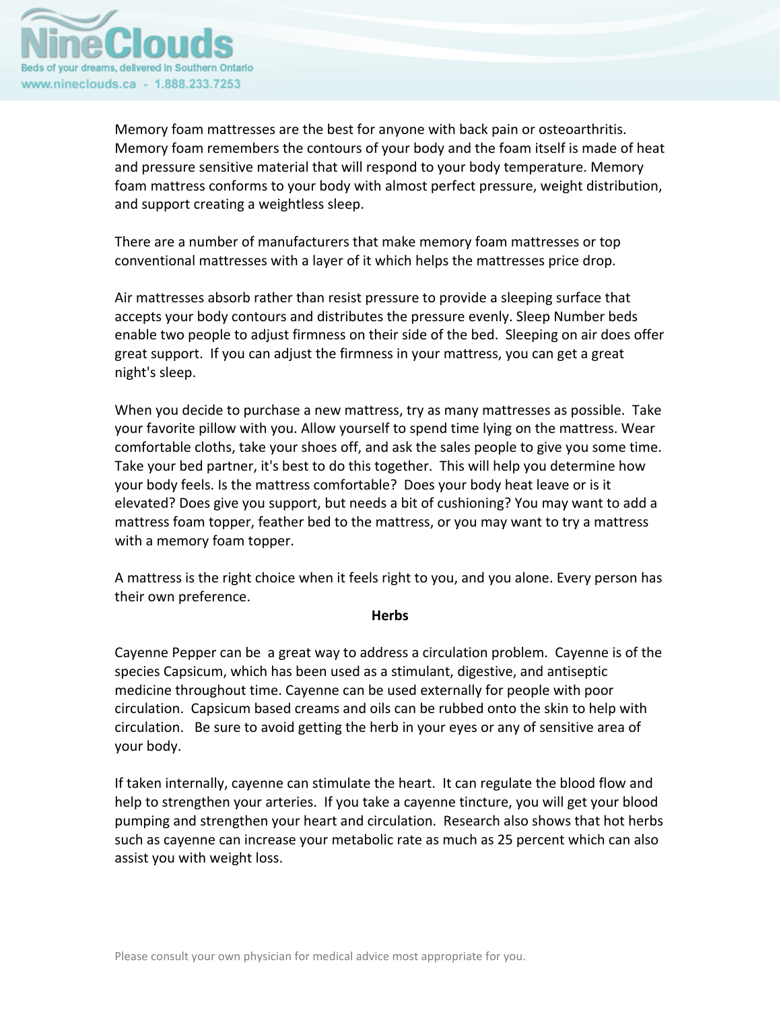

Memory foam mattresses are the best for anyone with back pain or osteoarthritis. Memory foam remembers the contours of your body and the foam itself is made of heat and pressure sensitive material that will respond to your body temperature. Memory foam mattress conforms to your body with almost perfect pressure, weight distribution, and support creating a weightless sleep.

There are a number of manufacturers that make memory foam mattresses or top conventional mattresses with a layer of it which helps the mattresses price drop.

Air mattresses absorb rather than resist pressure to provide a sleeping surface that accepts your body contours and distributes the pressure evenly. Sleep Number beds enable two people to adjust firmness on their side of the bed. Sleeping on air does offer great support. If you can adjust the firmness in your mattress, you can get a great night's sleep.

When you decide to purchase a new mattress, try as many mattresses as possible. Take your favorite pillow with you. Allow yourself to spend time lying on the mattress. Wear comfortable cloths, take your shoes off, and ask the sales people to give you some time. Take your bed partner, it's best to do this together. This will help you determine how your body feels. Is the mattress comfortable? Does your body heat leave or is it elevated? Does give you support, but needs a bit of cushioning? You may want to add a mattress foam topper, feather bed to the mattress, or you may want to try a mattress with a memory foam topper.

A mattress is the right choice when it feels right to you, and you alone. Every person has their own preference.

#### **Herbs**

Cayenne Pepper can be a great way to address a circulation problem. Cayenne is of the species Capsicum, which has been used as a stimulant, digestive, and antiseptic medicine throughout time. Cayenne can be used externally for people with poor circulation. Capsicum based creams and oils can be rubbed onto the skin to help with circulation. Be sure to avoid getting the herb in your eyes or any of sensitive area of your body.

If taken internally, cayenne can stimulate the heart. It can regulate the blood flow and help to strengthen your arteries. If you take a cayenne tincture, you will get your blood pumping and strengthen your heart and circulation. Research also shows that hot herbs such as cayenne can increase your metabolic rate as much as 25 percent which can also assist you with weight loss.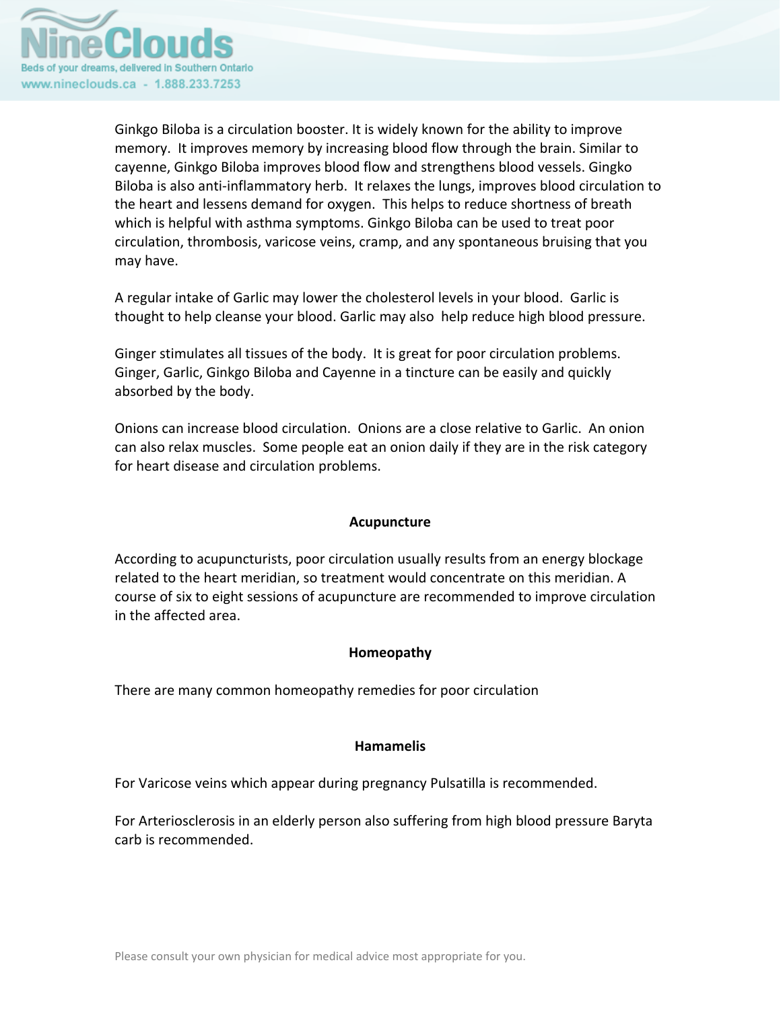

Ginkgo Biloba is a circulation booster. It is widely known for the ability to improve memory. It improves memory by increasing blood flow through the brain. Similar to cayenne, Ginkgo Biloba improves blood flow and strengthens blood vessels. Gingko Biloba is also anti‐inflammatory herb. It relaxes the lungs, improves blood circulation to the heart and lessens demand for oxygen. This helps to reduce shortness of breath which is helpful with asthma symptoms. Ginkgo Biloba can be used to treat poor circulation, thrombosis, varicose veins, cramp, and any spontaneous bruising that you may have.

A regular intake of Garlic may lower the cholesterol levels in your blood. Garlic is thought to help cleanse your blood. Garlic may also help reduce high blood pressure.

Ginger stimulates all tissues of the body. It is great for poor circulation problems. Ginger, Garlic, Ginkgo Biloba and Cayenne in a tincture can be easily and quickly absorbed by the body.

Onions can increase blood circulation. Onions are a close relative to Garlic. An onion can also relax muscles. Some people eat an onion daily if they are in the risk category for heart disease and circulation problems.

# **Acupuncture**

According to acupuncturists, poor circulation usually results from an energy blockage related to the heart meridian, so treatment would concentrate on this meridian. A course of six to eight sessions of acupuncture are recommended to improve circulation in the affected area.

# **Homeopathy**

There are many common homeopathy remedies for poor circulation

# **Hamamelis**

For Varicose veins which appear during pregnancy Pulsatilla is recommended.

For Arteriosclerosis in an elderly person also suffering from high blood pressure Baryta carb is recommended.